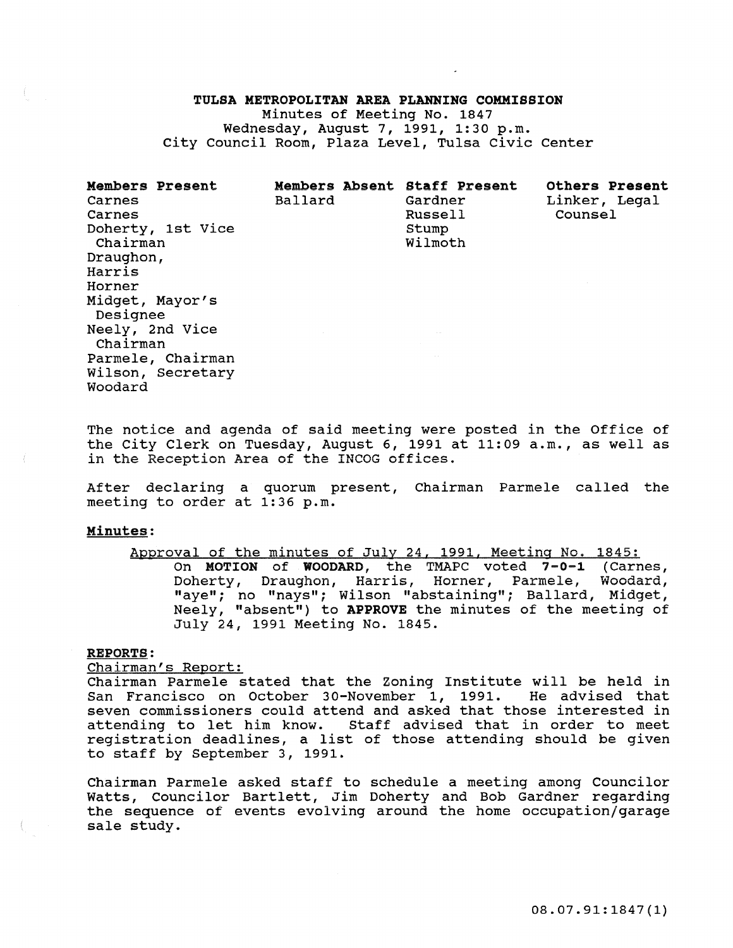# TULSA METROPOLITAN AREA PLANNING COMMISSION

Minutes of Meeting No. 1847 Wednesday, August 7, 1991, 1:30 p.m. City Council Room, Plaza Level, Tulsa civic center

| <b>Members Present</b><br>Carnes<br>Carnes<br>Doherty, 1st Vice<br>Chairman<br>Draughon,<br>Harris<br>Horner<br>Midget, Mayor's<br>Designee<br>Neely, 2nd Vice | Ballard | Members Absent Staff Present<br>Gardner<br>Russell<br>Stump<br>Wilmoth | <b>Others Present</b><br>Linker, Legal<br>Counsel |
|----------------------------------------------------------------------------------------------------------------------------------------------------------------|---------|------------------------------------------------------------------------|---------------------------------------------------|
| Chairman<br>Parmele, Chairman<br>Wilson, Secretary<br>Woodard                                                                                                  |         |                                                                        |                                                   |

The notice and agenda of said meeting were posted in the Office of the City Clerk on Tuesday, August 6, 1991 at 11:09 a.m., as well as **in the Reception Area of the INCOG offices.** 

After declaring a quorum present, Chairman Parmele called the meeting to order at 1:36 p.m.

#### Minutes:

# Approval of the minutes of July 24, 1991, Meeting No. 1845:

On MOTION of WOODARD, the TMAPC voted 7-0-1 (Carnes, Doherty, Draughon, Harris, Horner, Parmele, Woodard, "aye"; no "nays"; Wilson "abstaining"; Ballard, Midget, Neely, "absent") to APPROVE the minutes of the meeting of July 24, 1991 Meeting No. 1845.

# REPORTS:

Chairman's Report:

Chairman Parmele stated that the Zoning Institute will be held in San Francisco on October 30-November 1, 1991. He advised that seven commissioners could attend and asked that those interested in attending to let him know. Staff advised that in order to meet registration deadlines, a list of those attending should be given to staff by September 3, 1991.

Chairman Parmele asked staff to schedule a meeting among Councilor Watts, Councilor Bartlett, Jim Doherty and Bob Gardner regarding the sequence of events evolving around the home occupation/garage sale study.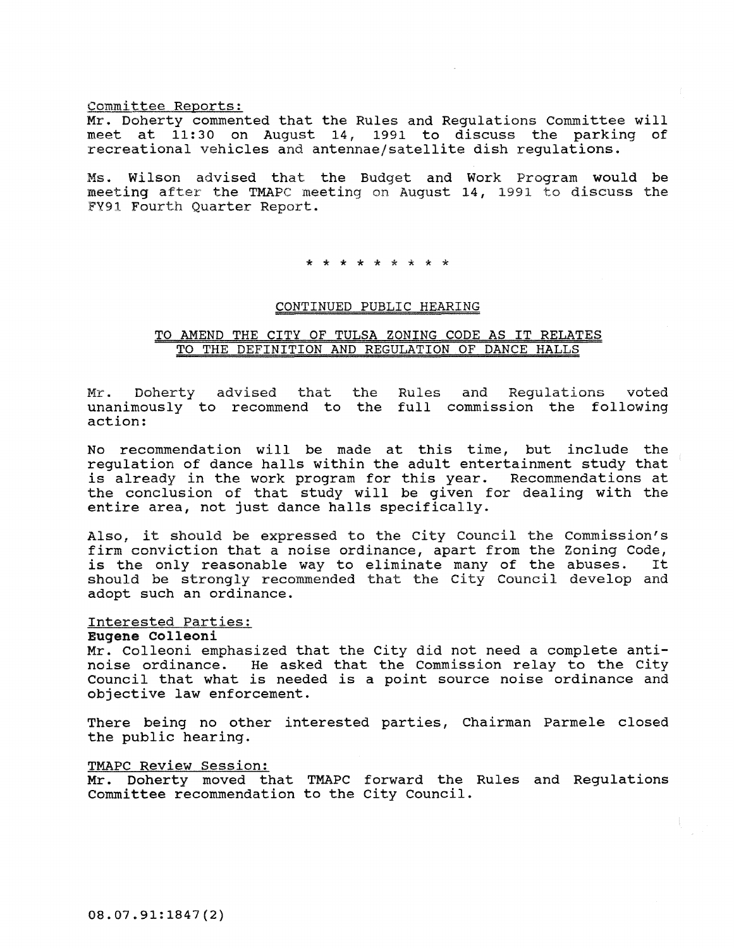# Committee Reports:

Mr. Doherty commented that the Rules and Regulations committee will meet at 11:30 on August 14, 1991 to discuss the parking of recreational vehicles and antennae/satellite dish regulations.

Ms. Wilson advised that the Budget and Work Program would be meeting after the TMAPC meeting on August 14, 1991 to discuss the FY91 Fourth Quarter Report.

\* \* \* \* \* \* \* \* \*

# CONTINUED PUBLIC HEARING

# TO AMEND THE CITY OF TULSA ZONING CODE AS IT RELATES TO THE DEFINITION AND REGULATION OF DANCE HALLS

Mr. Doherty advised that the unanimously to recommend to the full commission the following action: Rules and Regulations voted

No recommendation will be made at this time, but include the regulation of dance halls within the adult entertainment study that is already in the work program for this year. Recommendations at the conclusion of that study will be given for dealing with the entire area, not just dance halls specifically.

Also, it should be expressed to the City Council the commission's firm conviction that a noise ordinance, apart from the Zoning Code,<br>is the only reasonable way to eliminate many of the abuses. It is the only reasonable way to eliminate many of the abuses. should be strongly recommended that the City Council develop and adopt such an ordinance.

# Interested Parties:

# Eugene Colleoni

Mr. Colleoni emphasized that the City did not need a complete antinoise ordinance. He asked that the Commission relay to the City council that what is needed is a point source noise ordinance and objective law enforcement.

There being no other interested parties, Chairman Parmele closed the public hearing.

#### TMAPC Review Session:

Mr. Doherty moved that TMAPC forward the Rules and Regulations Committee recommendation to the City Council.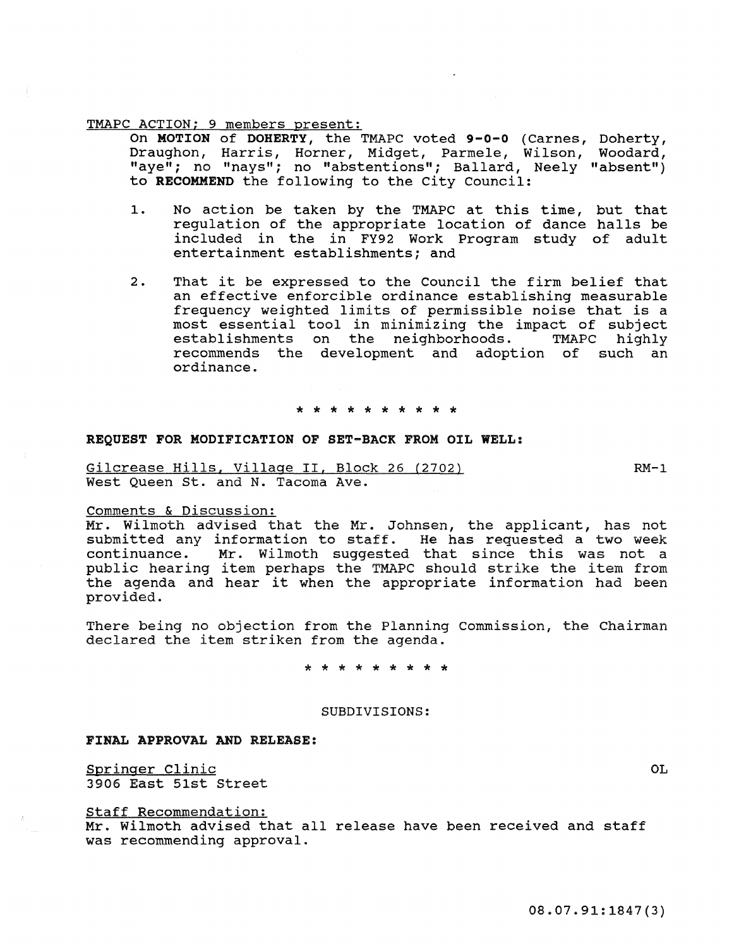## TMAPC ACTION; 9 members present:

On MOTION of DOHERTY, the TMAPC voted 9-0-0 (Carnes, Doherty, Draughon, Harris, Horner, Midget, Parmele, Wilson, Woodard, "aye" *i* no "nays"; no "abstentions"; Ballard, Neely "absent") to RECOMMEND the following to the City Council:

- 1. No action be taken by the TMAPC at this time, but that regulation of the appropriate location of dance halls be included in the in FY92 Work Program study of adult entertainment establishments; and
- 2. That it be expressed to the Council the firm belief that an effective enforcible ordinance establishing measurable frequency weighted limits of permissible noise that is a most essential tool in minimizing the impact of subject establishments on the neighborhoods. recommends the development and adoption of such an ordinance.

\* \* \* \* \* \* \* \* \* \*

## REQUEST FOR MODIFICATION OF SET-BACK FROM OIL WELL:

Gilcrease Hills, village II, Block 26 (2702) West Queen st. and N. Tacoma Ave.

 $RM-1$ 

# Comments & Discussion:

Mr. Wilmoth advised that the Mr. Johnsen, the applicant, has not submitted any information to staff. He has requested a two week continuance. Mr. wilmoth suggested that since this was not a public hearing item perhaps the TMAPC should strike the item from the agenda and hear it when the appropriate information had been provided.

There being no objection from the Planning commission, the Chairman declared the item striken from the agenda.

\* \* \* \* \* \* \* \* \*

# SUBDIVISIONS:

# FINAL APPROVAL AND RELEASE:

Springer Clinic 3906 East 51st Street

Staff Recommendation:

Mr. Wilmoth advised that all release have been received and staff was recommending approval.

OL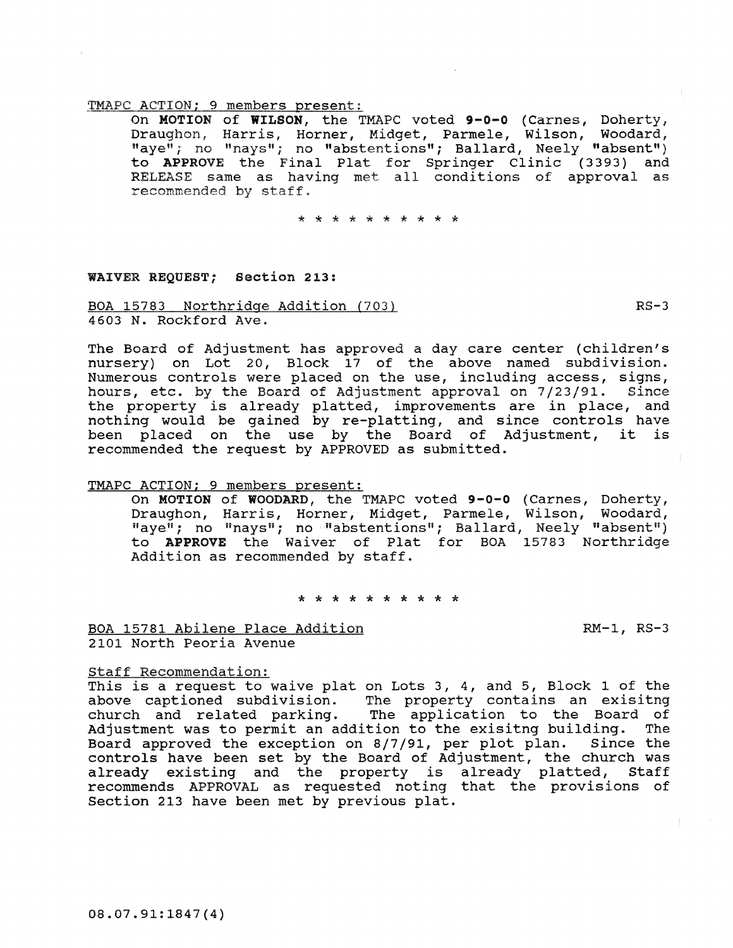# TMAPC ACTION; 9 members present:

On MOTION of WILSON, the TMAPC voted 9-0-0 (Carnes, Doherty, Draughon, Harris, Horner, Midget, Parmele, Wilson, Woodard, "aye"; no "nays"; no "abstentions"; Ballard, Neely "absent") to APPROVE the Final Plat for Springer Clinic (3393) and RELEASE same as having met all conditions of approval as recommended by staff.

\* \* \* \* \* \* \* \* \* \*

# WAIVER REQUEST; section 213:

BOA 15783 Northridge Addition (703) 4603 N. Rockford Ave.

The Board of Adjustment has approved a day care center (children's nursery) on Lot 20, Block 17 of the above named subdivision. **Numerous controls were placed on the use, including access, signs,**  hours, etc. by the Board of Adjustment approval on 7/23/91. Since the property is already platted, improvements are in place, and nothing would be gained by re-platting, and since controls have been placed on the use by the Board of Adjustment, it is recommended the request by APPROVED as submitted.

# TMAPC ACTION; 9 members present:

On MOTION of WOODARD, the TMAPC voted 9-0-0 (Carnes, Doherty, Draughon, Harris, Horner, Midget, Parmele, Wilson, Woodard, "aye"; no "nays"; no "abstentions"; Ballard, Neely "absent") to APPROVE the Waiver of Plat for BOA 15783 Northridge Addition as recommended by staff.

\* \* \* \* \* \* \* \* \* \*

BOA 15781 Abilene Place Addition 2101 North Peoria Avenue

RM-1, RS-3

# staff Recommendation:

This is a request to waive plat on Lots 3, 4, and 5, Block 1 of the above captioned subdivision. The property contains an exisitng church and related parking. The application to the Board of Adjustment was to permit an addition to the exisitng building. The Board approved the exception on 8/7/91, per plot plan. Since the Board approved the exception on  $8/7/91$ , per plot plan. controls have been set by the Board of Adjustment, the church was already existing and the property is already platted, recommends APPROVAL as requested noting that the provisions of section 213 have been met by previous plat.

 $RS-3$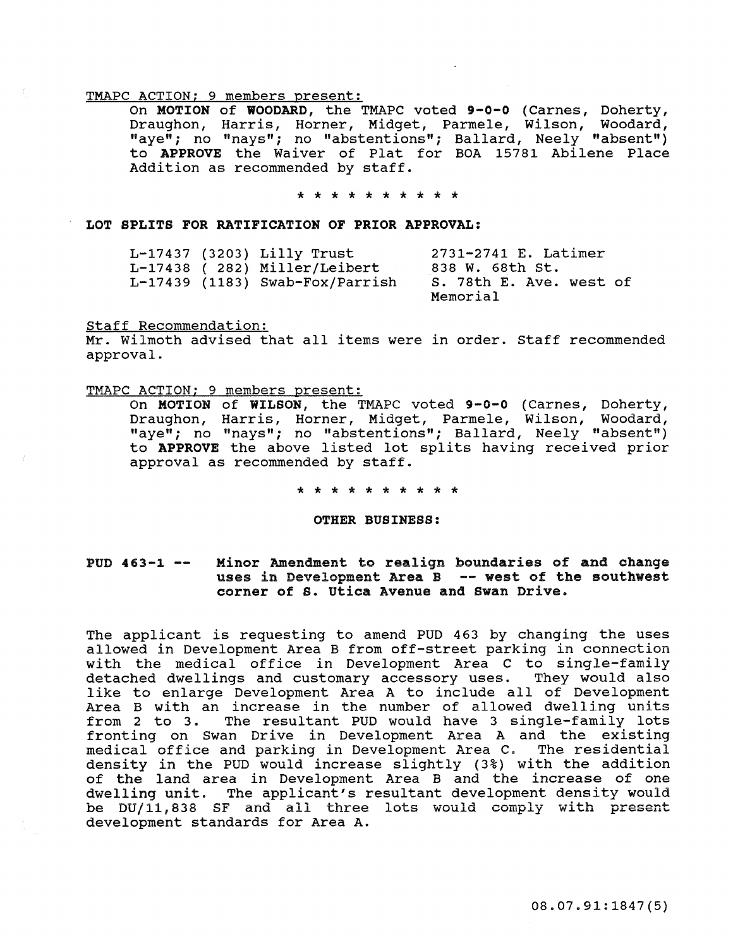#### TMAPC ACTION; 9 members present:

On MOTION of WOODARD, the TMAPC voted 9-0-0 (Carnes, Doherty, Draughon, Harris, Horner, Midget, Parmele, Wilson, Woodard, "aye"; no "nays"; no "abstentions"; Ballard, Neely "absent") to APPROVE the Waiver of Plat for BOA 15781 Abilene Place Addition as recommended by staff.

#### \* \* \* \* \* \* \* \* \* \*

LOT SPLITS FOR RATIFICATION OF PRIOR APPROVAL:

|  | L-17437 (3203) Lilly Trust      | 2731-2741 E. Latimer    |
|--|---------------------------------|-------------------------|
|  | L-17438 (282) Miller/Leibert    | 838 W. 68th St.         |
|  | L-17439 (1183) Swab-Fox/Parrish | S. 78th E. Ave. west of |
|  |                                 | Memorial                |

#### Staff Recommendation:

Mr. Wilmoth advised that all items were in order. Staff recommended approval.

#### TMAPC ACTION; 9 members present:

On MOTION of WILSON, the TMAPC voted 9-0-0 (Carnes, Doherty, Draughon, Harris, Horner, Midget, Parmele, Wilson, Woodard, "aye"; no "nays"; no "abstentions"; Ballard, Neely "absent") to APPROVE the above listed lot splits having received prior approval as recommended by staff.

\* \* \* \* \* \* \* \* \* \*

OTHER BUSINESS:

#### $PUD$  463-1 --Minor Amendment to realign boundaries of and change uses in Development Area B -- west of the southwest corner of s. utica Avenue and Swan Drive.

The applicant is requesting to amend PUD 463 by changing the uses allowed in Development Area B from off-street parking in connection with the medical office in Development Area C to single-family detached dwellings and customary accessory uses. They would also like to enlarge Development Area A to include all of Development Area B with an increase in the number of allowed dwelling units from 2 to 3. The resultant PUD would have 3 single-family lots fronting on Swan Drive in Development Area A and the existing medical office and parking in Development Area C. The residential density in the PUD would increase slightly (3%) with the addition of the land area in Development Area B and the increase of one dwelling unit. The applicant's resultant development density would be DU/11,838 SF and all three lots would comply with present development standards for Area A.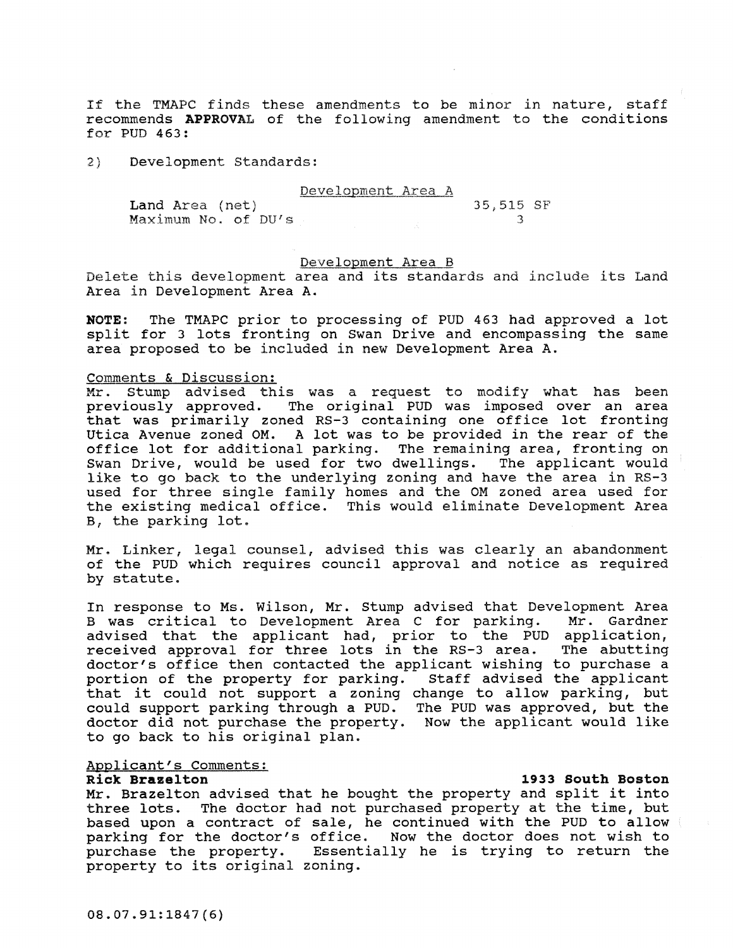If the TMAPC finds these amendments to be minor in nature, staff recommends APPROVAL of the following amendment to the conditions for PUD 463:

2) Development Standards:

# Development Area A

| Land Area (net)     | THE COMMON CONTRACT OF THE COMMON COMMON CONTRACT OF THE COMMON CONTRACT OF THE COMMON CONTRACT OF THE COMMON CONTRACT OF THE COMMON CONTRACT OF THE COMMON CONTRACT OF THE COMMON CONTRACT OF THE COMMON CONTRACT OF THE COMM | 35,515 SF |  |
|---------------------|--------------------------------------------------------------------------------------------------------------------------------------------------------------------------------------------------------------------------------|-----------|--|
| Maximum No. of DU's |                                                                                                                                                                                                                                |           |  |

# Development Area B

Delete this development area and its standards and include its Land Area in Development Area A.

NOTE: The TMAPC prior to processing of PUD 463 had approved a lot split for 3 lots fronting on Swan Drive and encompassing the same area proposed to be included in new Development Area A.

# **comments & Discussion:**

Mr. Stump advised this was a request to modify what has been previously approved. The original PUD was imposed over an area that was primarily zoned RS-3 containing one office lot fronting Utica Avenue zoned OM. A lot was to be provided in the rear of the office lot for additional parking. The remaining area, fronting on<br>Swan Drive, would be used for two dwellings. The applicant would Swan Drive, would be used for two dwellings. like to go back to the underlying zoning and have the area in RS-3 used for three single family homes and the OM zoned area used for the existing medical office. This would eliminate Development Area B, the parking lot.

Mr. Linker, legal counsel, advised this was clearly an abandonment of the PUD which requires council approval and notice as required by statute.

In response to Ms. Wilson, Mr. Stump advised that Development Area<br>B was critical to Development Area C for parking. Mr. Gardner B was critical to Development Area C for parking. advised that the applicant had, prior to the PUD application, received approval for three lots in the RS-3 area. The abutting received approval for three lots in the RS-3 area. The abutting doctor's office then contacted the applicant wishing to purchase a portion of the property for parking. Staff advised the applicant that it could not support a zoning change to allow parking, but could support parking through a PUD. The PUD was approved, but the doctor did not purchase the property. Now the applicant would like to go back to his original plan.

# Applicant's Comments:<br>Rick Brazelton

# Rick **Brazelton** 1933 South Boston

Mr. Brazelton advised that he bought the property and split it into three lots. The doctor had not purchased property at the time, but based upon a contract of sale, he continued with the PUD to allow parking for the doctor's office. Now the doctor does not wish to purchase the property. Essentially he is trying to return the property to its original zoning.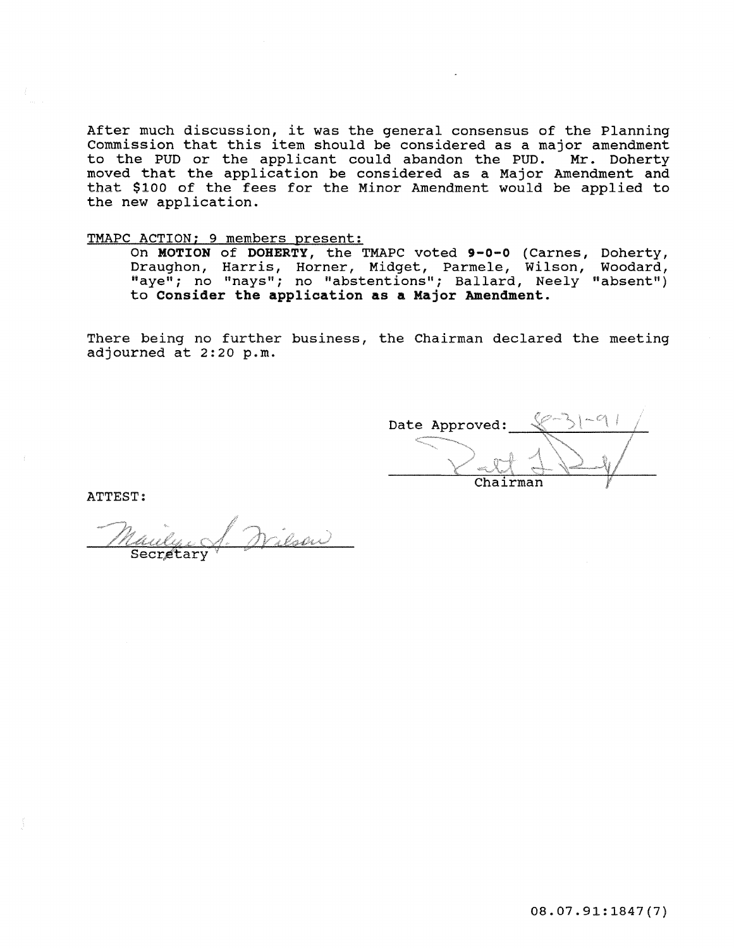After much discussion, it was the general consensus of the Planning Commission that this item should be considered as a major amendment<br>to the PUD or the applicant could abandon the PUD. Mr. Doherty to the PUD or the applicant could abandon the PUD. moved that the application be considered as a Major Amendment and that \$100 of the fees for the Minor Amendment would be applied to the new application.

# TMAPC ACTION; 9 members present:

On MOTION of DOHERTY, the TMAPC voted 9-0-0 (Carnes, Doherty, Draughon, Harris, Horner, Midget, Parmele, wilson, Woodard, "aye"; no "nays"; no "abstentions"; Ballard, Neely "absent") to Consider **the** application **as a** Major Amendment.

There being no further business, the Chairman declared the meeting adjourned at 2:20 p.m.

Date Approved: Chairman

ATTEST:

enoir) Secretar